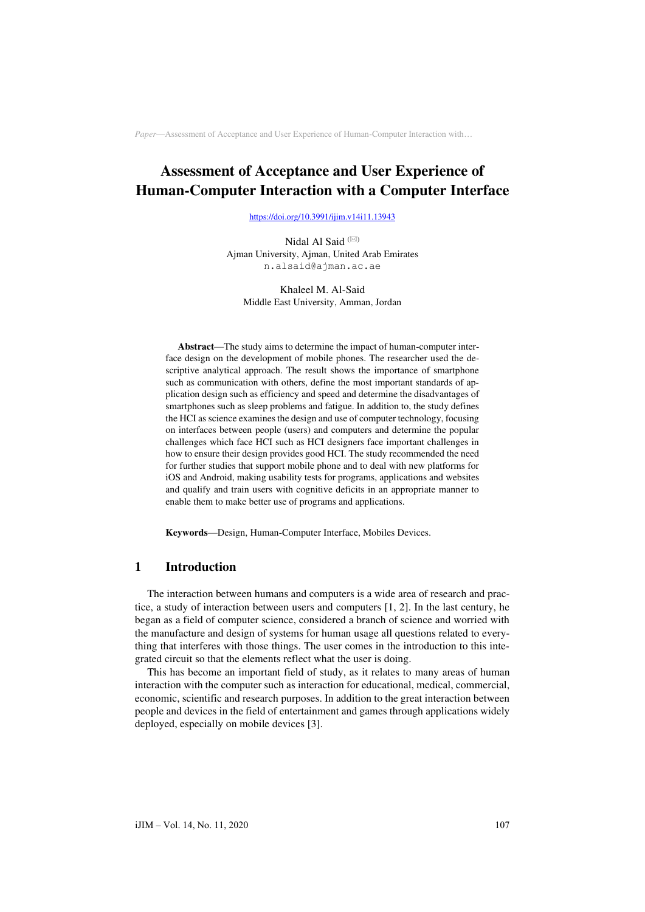# **Assessment of Acceptance and User Experience of Human-Computer Interaction with a Computer Interface**

<https://doi.org/10.3991/ijim.v14i11.13943>

Nidal Al Said<sup>(⊠)</sup> Ajman University, Ajman, United Arab Emirates n.alsaid@ajman.ac.ae

Khaleel M. Al-Said Middle East University, Amman, Jordan

**Abstract**—The study aims to determine the impact of human-computer interface design on the development of mobile phones. The researcher used the descriptive analytical approach. The result shows the importance of smartphone such as communication with others, define the most important standards of application design such as efficiency and speed and determine the disadvantages of smartphones such as sleep problems and fatigue. In addition to, the study defines the HCI as science examines the design and use of computer technology, focusing on interfaces between people (users) and computers and determine the popular challenges which face HCI such as HCI designers face important challenges in how to ensure their design provides good HCI. The study recommended the need for further studies that support mobile phone and to deal with new platforms for iOS and Android, making usability tests for programs, applications and websites and qualify and train users with cognitive deficits in an appropriate manner to enable them to make better use of programs and applications.

**Keywords**—Design, Human-Computer Interface, Mobiles Devices.

# **1 Introduction**

The interaction between humans and computers is a wide area of research and practice, a study of interaction between users and computers [1, 2]. In the last century, he began as a field of computer science, considered a branch of science and worried with the manufacture and design of systems for human usage all questions related to everything that interferes with those things. The user comes in the introduction to this integrated circuit so that the elements reflect what the user is doing.

This has become an important field of study, as it relates to many areas of human interaction with the computer such as interaction for educational, medical, commercial, economic, scientific and research purposes. In addition to the great interaction between people and devices in the field of entertainment and games through applications widely deployed, especially on mobile devices [3].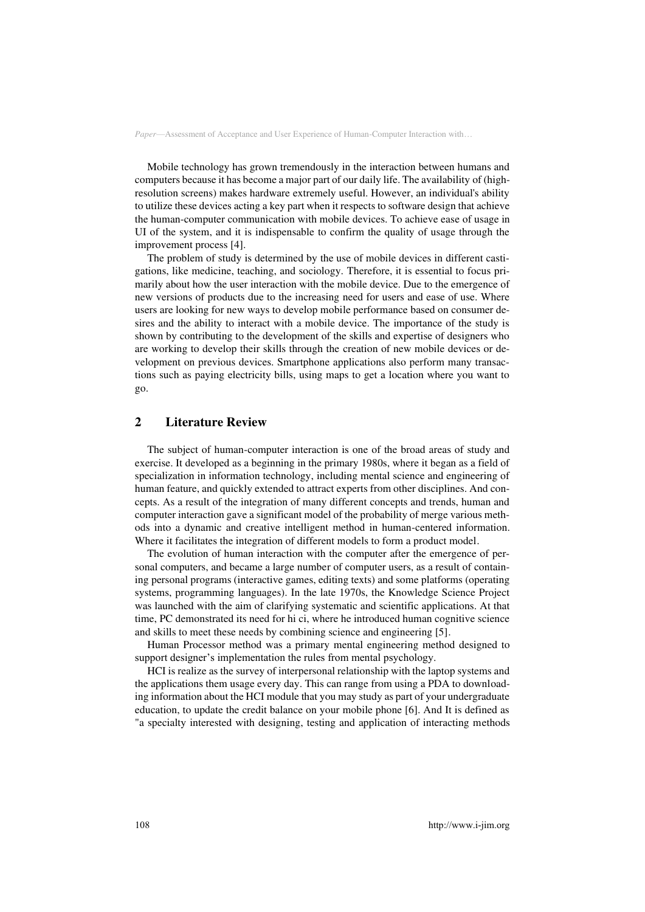Mobile technology has grown tremendously in the interaction between humans and computers because it has become a major part of our daily life. The availability of (highresolution screens) makes hardware extremely useful. However, an individual's ability to utilize these devices acting a key part when it respects to software design that achieve the human-computer communication with mobile devices. To achieve ease of usage in UI of the system, and it is indispensable to confirm the quality of usage through the improvement process [4].

The problem of study is determined by the use of mobile devices in different castigations, like medicine, teaching, and sociology. Therefore, it is essential to focus primarily about how the user interaction with the mobile device. Due to the emergence of new versions of products due to the increasing need for users and ease of use. Where users are looking for new ways to develop mobile performance based on consumer desires and the ability to interact with a mobile device. The importance of the study is shown by contributing to the development of the skills and expertise of designers who are working to develop their skills through the creation of new mobile devices or development on previous devices. Smartphone applications also perform many transactions such as paying electricity bills, using maps to get a location where you want to go.

# **2 Literature Review**

The subject of human-computer interaction is one of the broad areas of study and exercise. It developed as a beginning in the primary 1980s, where it began as a field of specialization in information technology, including mental science and engineering of human feature, and quickly extended to attract experts from other disciplines. And concepts. As a result of the integration of many different concepts and trends, human and computer interaction gave a significant model of the probability of merge various methods into a dynamic and creative intelligent method in human-centered information. Where it facilitates the integration of different models to form a product model.

The evolution of human interaction with the computer after the emergence of personal computers, and became a large number of computer users, as a result of containing personal programs (interactive games, editing texts) and some platforms (operating systems, programming languages). In the late 1970s, the Knowledge Science Project was launched with the aim of clarifying systematic and scientific applications. At that time, PC demonstrated its need for hi ci, where he introduced human cognitive science and skills to meet these needs by combining science and engineering [5].

Human Processor method was a primary mental engineering method designed to support designer's implementation the rules from mental psychology.

HCI is realize as the survey of interpersonal relationship with the laptop systems and the applications them usage every day. This can range from using a PDA to downloading information about the HCI module that you may study as part of your undergraduate education, to update the credit balance on your mobile phone [6]. And It is defined as "a specialty interested with designing, testing and application of interacting methods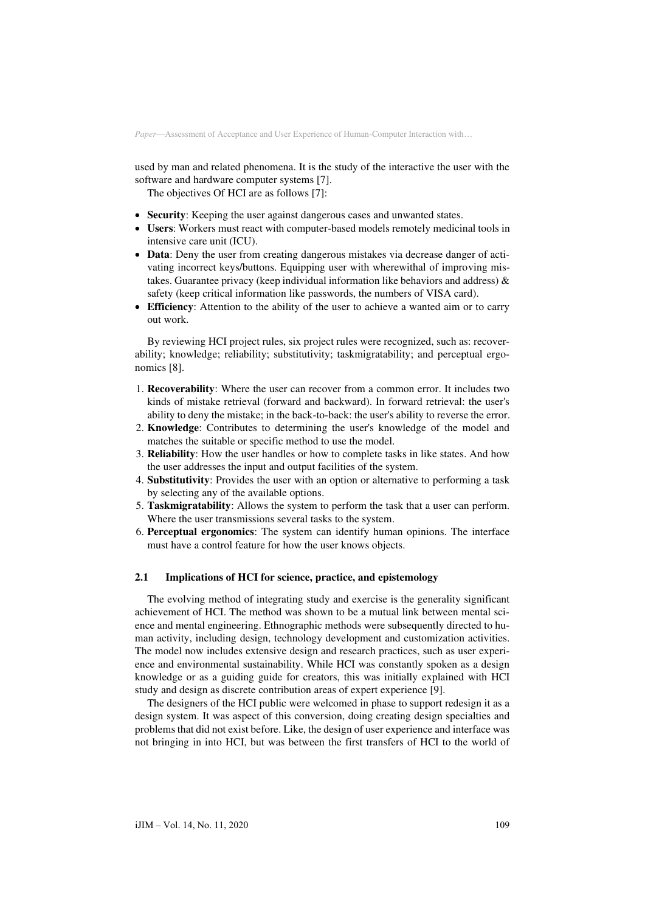used by man and related phenomena. It is the study of the interactive the user with the software and hardware computer systems [7].

The objectives Of HCI are as follows [7]:

- **Security**: Keeping the user against dangerous cases and unwanted states.
- **Users**: Workers must react with computer-based models remotely medicinal tools in intensive care unit (ICU).
- **Data**: Deny the user from creating dangerous mistakes via decrease danger of activating incorrect keys/buttons. Equipping user with wherewithal of improving mistakes. Guarantee privacy (keep individual information like behaviors and address)  $\&$ safety (keep critical information like passwords, the numbers of VISA card).
- **Efficiency**: Attention to the ability of the user to achieve a wanted aim or to carry out work.

By reviewing HCI project rules, six project rules were recognized, such as: recoverability; knowledge; reliability; substitutivity; taskmigratability; and perceptual ergonomics [8].

- 1. **Recoverability**: Where the user can recover from a common error. It includes two kinds of mistake retrieval (forward and backward). In forward retrieval: the user's ability to deny the mistake; in the back-to-back: the user's ability to reverse the error.
- 2. **Knowledge**: Contributes to determining the user's knowledge of the model and matches the suitable or specific method to use the model.
- 3. **Reliability**: How the user handles or how to complete tasks in like states. And how the user addresses the input and output facilities of the system.
- 4. **Substitutivity**: Provides the user with an option or alternative to performing a task by selecting any of the available options.
- 5. **Taskmigratability**: Allows the system to perform the task that a user can perform. Where the user transmissions several tasks to the system.
- 6. **Perceptual ergonomics**: The system can identify human opinions. The interface must have a control feature for how the user knows objects.

## **2.1 Implications of HCI for science, practice, and epistemology**

The evolving method of integrating study and exercise is the generality significant achievement of HCI. The method was shown to be a mutual link between mental science and mental engineering. Ethnographic methods were subsequently directed to human activity, including design, technology development and customization activities. The model now includes extensive design and research practices, such as user experience and environmental sustainability. While HCI was constantly spoken as a design knowledge or as a guiding guide for creators, this was initially explained with HCI study and design as discrete contribution areas of expert experience [9].

The designers of the HCI public were welcomed in phase to support redesign it as a design system. It was aspect of this conversion, doing creating design specialties and problems that did not exist before. Like, the design of user experience and interface was not bringing in into HCI, but was between the first transfers of HCI to the world of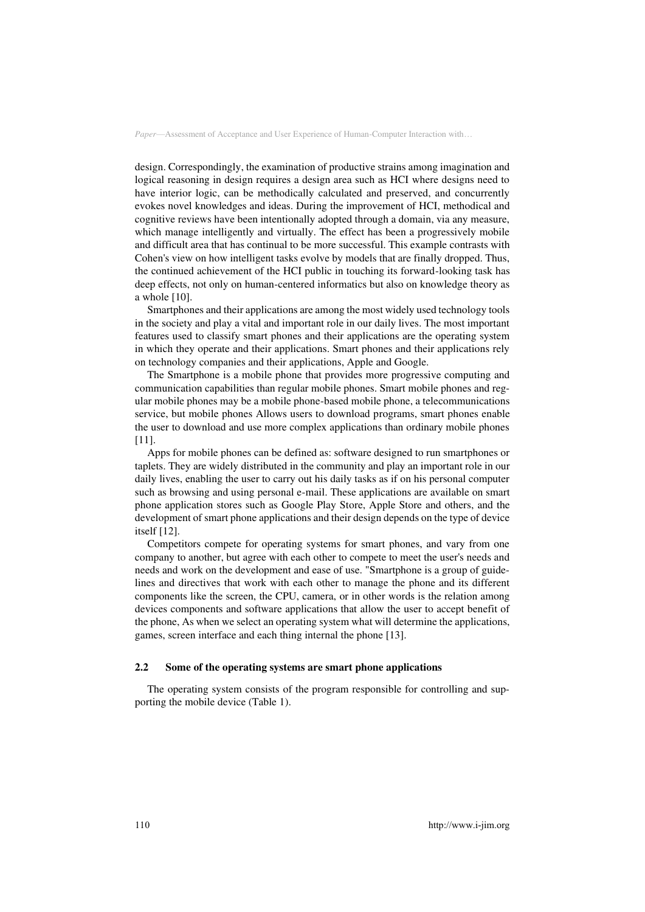design. Correspondingly, the examination of productive strains among imagination and logical reasoning in design requires a design area such as HCI where designs need to have interior logic, can be methodically calculated and preserved, and concurrently evokes novel knowledges and ideas. During the improvement of HCI, methodical and cognitive reviews have been intentionally adopted through a domain, via any measure, which manage intelligently and virtually. The effect has been a progressively mobile and difficult area that has continual to be more successful. This example contrasts with Cohen's view on how intelligent tasks evolve by models that are finally dropped. Thus, the continued achievement of the HCI public in touching its forward-looking task has deep effects, not only on human-centered informatics but also on knowledge theory as a whole [10].

Smartphones and their applications are among the most widely used technology tools in the society and play a vital and important role in our daily lives. The most important features used to classify smart phones and their applications are the operating system in which they operate and their applications. Smart phones and their applications rely on technology companies and their applications, Apple and Google.

The Smartphone is a mobile phone that provides more progressive computing and communication capabilities than regular mobile phones. Smart mobile phones and regular mobile phones may be a mobile phone-based mobile phone, a telecommunications service, but mobile phones Allows users to download programs, smart phones enable the user to download and use more complex applications than ordinary mobile phones [11].

Apps for mobile phones can be defined as: software designed to run smartphones or taplets. They are widely distributed in the community and play an important role in our daily lives, enabling the user to carry out his daily tasks as if on his personal computer such as browsing and using personal e-mail. These applications are available on smart phone application stores such as Google Play Store, Apple Store and others, and the development of smart phone applications and their design depends on the type of device itself [12].

Competitors compete for operating systems for smart phones, and vary from one company to another, but agree with each other to compete to meet the user's needs and needs and work on the development and ease of use. "Smartphone is a group of guidelines and directives that work with each other to manage the phone and its different components like the screen, the CPU, camera, or in other words is the relation among devices components and software applications that allow the user to accept benefit of the phone, As when we select an operating system what will determine the applications, games, screen interface and each thing internal the phone [13].

#### **2.2 Some of the operating systems are smart phone applications**

The operating system consists of the program responsible for controlling and supporting the mobile device (Table 1).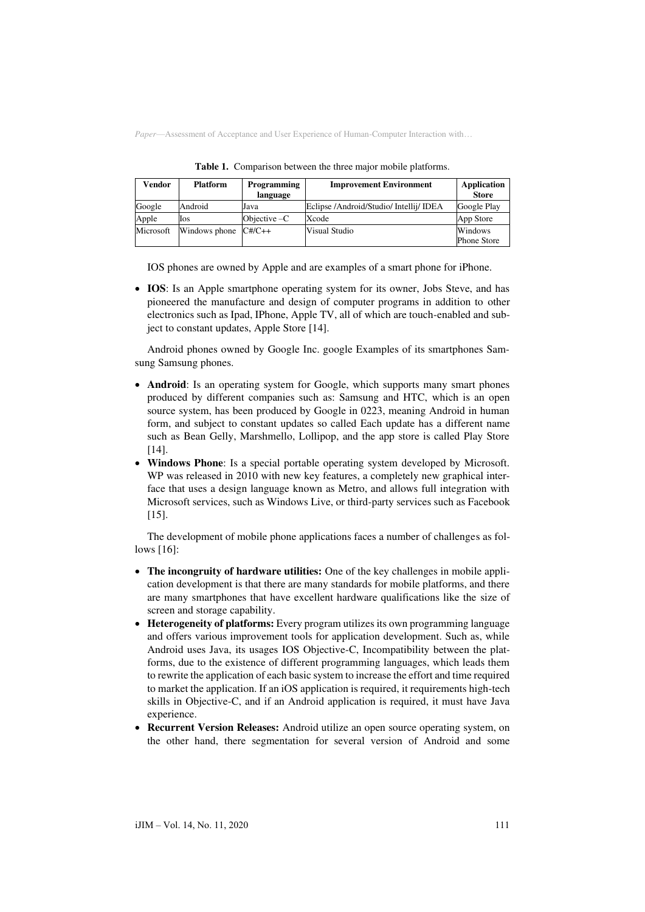| Vendor    | <b>Platform</b>        | <b>Programming</b><br>language | <b>Improvement Environment</b>          | Application<br><b>Store</b>   |
|-----------|------------------------|--------------------------------|-----------------------------------------|-------------------------------|
| Google    | Android                | Java                           | Eclipse /Android/Studio/ Intellij/ IDEA | Google Play                   |
| Apple     | Ios                    | Objective $-C$                 | Xcode                                   | App Store                     |
| Microsoft | Windows phone $C#/C++$ |                                | Visual Studio                           | Windows<br><b>Phone Store</b> |

**Table 1.** Comparison between the three major mobile platforms.

IOS phones are owned by Apple and are examples of a smart phone for iPhone.

• **IOS**: Is an Apple smartphone operating system for its owner, Jobs Steve, and has pioneered the manufacture and design of computer programs in addition to other electronics such as Ipad, IPhone, Apple TV, all of which are touch-enabled and subject to constant updates, Apple Store [14].

Android phones owned by Google Inc. google Examples of its smartphones Samsung Samsung phones.

- **Android**: Is an operating system for Google, which supports many smart phones produced by different companies such as: Samsung and HTC, which is an open source system, has been produced by Google in 0223, meaning Android in human form, and subject to constant updates so called Each update has a different name such as Bean Gelly, Marshmello, Lollipop, and the app store is called Play Store [14].
- **Windows Phone**: Is a special portable operating system developed by Microsoft. WP was released in 2010 with new key features, a completely new graphical interface that uses a design language known as Metro, and allows full integration with Microsoft services, such as Windows Live, or third-party services such as Facebook [15].

The development of mobile phone applications faces a number of challenges as follows [16]:

- **The incongruity of hardware utilities:** One of the key challenges in mobile application development is that there are many standards for mobile platforms, and there are many smartphones that have excellent hardware qualifications like the size of screen and storage capability.
- **Heterogeneity of platforms:** Every program utilizes its own programming language and offers various improvement tools for application development. Such as, while Android uses Java, its usages IOS Objective-C, Incompatibility between the platforms, due to the existence of different programming languages, which leads them to rewrite the application of each basic system to increase the effort and time required to market the application. If an iOS application is required, it requirements high-tech skills in Objective-C, and if an Android application is required, it must have Java experience.
- **Recurrent Version Releases:** Android utilize an open source operating system, on the other hand, there segmentation for several version of Android and some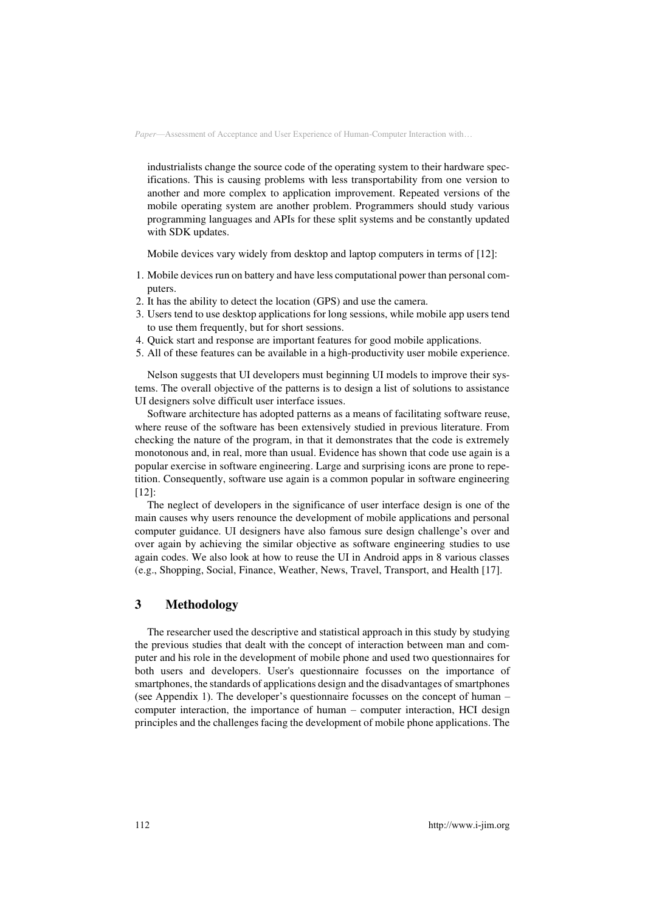industrialists change the source code of the operating system to their hardware specifications. This is causing problems with less transportability from one version to another and more complex to application improvement. Repeated versions of the mobile operating system are another problem. Programmers should study various programming languages and APIs for these split systems and be constantly updated with SDK updates.

Mobile devices vary widely from desktop and laptop computers in terms of [12]:

- 1. Mobile devices run on battery and have less computational power than personal computers.
- 2. It has the ability to detect the location (GPS) and use the camera.
- 3. Users tend to use desktop applications for long sessions, while mobile app users tend to use them frequently, but for short sessions.
- 4. Quick start and response are important features for good mobile applications.
- 5. All of these features can be available in a high-productivity user mobile experience.

Nelson suggests that UI developers must beginning UI models to improve their systems. The overall objective of the patterns is to design a list of solutions to assistance UI designers solve difficult user interface issues.

Software architecture has adopted patterns as a means of facilitating software reuse, where reuse of the software has been extensively studied in previous literature. From checking the nature of the program, in that it demonstrates that the code is extremely monotonous and, in real, more than usual. Evidence has shown that code use again is a popular exercise in software engineering. Large and surprising icons are prone to repetition. Consequently, software use again is a common popular in software engineering [12]:

The neglect of developers in the significance of user interface design is one of the main causes why users renounce the development of mobile applications and personal computer guidance. UI designers have also famous sure design challenge's over and over again by achieving the similar objective as software engineering studies to use again codes. We also look at how to reuse the UI in Android apps in 8 various classes (e.g., Shopping, Social, Finance, Weather, News, Travel, Transport, and Health [17].

# **3 Methodology**

The researcher used the descriptive and statistical approach in this study by studying the previous studies that dealt with the concept of interaction between man and computer and his role in the development of mobile phone and used two questionnaires for both users and developers. User's questionnaire focusses on the importance of smartphones, the standards of applications design and the disadvantages of smartphones (see Appendix 1). The developer's questionnaire focusses on the concept of human  $$ computer interaction, the importance of human – computer interaction, HCI design principles and the challenges facing the development of mobile phone applications. The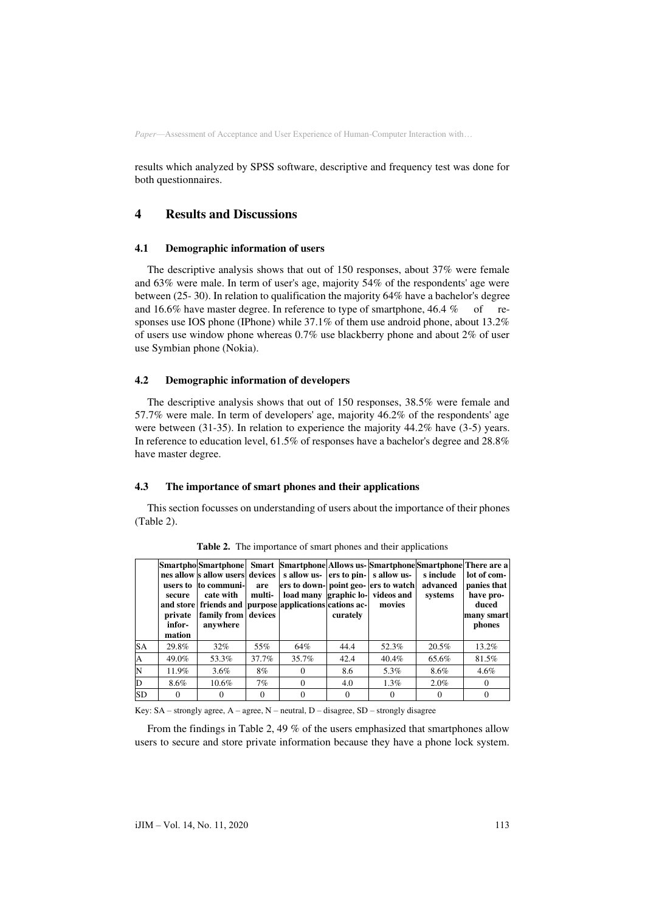results which analyzed by SPSS software, descriptive and frequency test was done for both questionnaires.

# **4 Results and Discussions**

### **4.1 Demographic information of users**

The descriptive analysis shows that out of 150 responses, about 37% were female and 63% were male. In term of user's age, majority 54% of the respondents' age were between (25- 30). In relation to qualification the majority 64% have a bachelor's degree and 16.6% have master degree. In reference to type of smartphone,  $46.4\%$  of responses use IOS phone (IPhone) while 37.1% of them use android phone, about 13.2% of users use window phone whereas 0.7% use blackberry phone and about 2% of user use Symbian phone (Nokia).

#### **4.2 Demographic information of developers**

The descriptive analysis shows that out of 150 responses, 38.5% were female and 57.7% were male. In term of developers' age, majority 46.2% of the respondents' age were between (31-35). In relation to experience the majority 44.2% have (3-5) years. In reference to education level, 61.5% of responses have a bachelor's degree and 28.8% have master degree.

#### **4.3 The importance of smart phones and their applications**

This section focusses on understanding of users about the importance of their phones (Table 2).

|           | users to<br>secure<br>private<br>infor-<br>mation | Smartphology Smartphone Smart Smartphone Allows us-Smartphone Smartphone There are a<br>nes allow s allow users devices<br>to communi-<br>cate with<br>and store   friends and   purpose   applications   cations ac-<br>family from devices<br>anywhere | are<br>multi- | ers to down- point geo- ers to watch | curately | s allow us- ers to pin- s allow us-<br>load many graphic lo- videos and<br>movies | s include<br>advanced<br>systems | lot of com-<br>panies that<br>have pro-<br>duced<br>many smart<br>phones |
|-----------|---------------------------------------------------|----------------------------------------------------------------------------------------------------------------------------------------------------------------------------------------------------------------------------------------------------------|---------------|--------------------------------------|----------|-----------------------------------------------------------------------------------|----------------------------------|--------------------------------------------------------------------------|
| <b>SA</b> | 29.8%                                             | $32\%$                                                                                                                                                                                                                                                   | 55%           | 64%                                  | 44.4     | 52.3%                                                                             | 20.5%                            | 13.2%                                                                    |
| A         | 49.0%                                             | 53.3%                                                                                                                                                                                                                                                    | 37.7%         | 35.7%                                | 42.4     | 40.4%                                                                             | 65.6%                            | 81.5%                                                                    |
|           | 11.9%                                             | $3.6\%$                                                                                                                                                                                                                                                  | 8%            | $\Omega$                             | 8.6      | 5.3%                                                                              | 8.6%                             | 4.6%                                                                     |
| D         | 8.6%                                              | 10.6%                                                                                                                                                                                                                                                    | 7%            | $\Omega$                             | 4.0      | $1.3\%$                                                                           | $2.0\%$                          | $\Omega$                                                                 |
| <b>SD</b> | $\Omega$                                          |                                                                                                                                                                                                                                                          | $\Omega$      | $\Omega$                             | $\Omega$ |                                                                                   |                                  | $\Omega$                                                                 |

**Table 2.** The importance of smart phones and their applications

Key: SA – strongly agree, A – agree, N – neutral, D – disagree, SD – strongly disagree

From the findings in Table 2, 49 % of the users emphasized that smartphones allow users to secure and store private information because they have a phone lock system.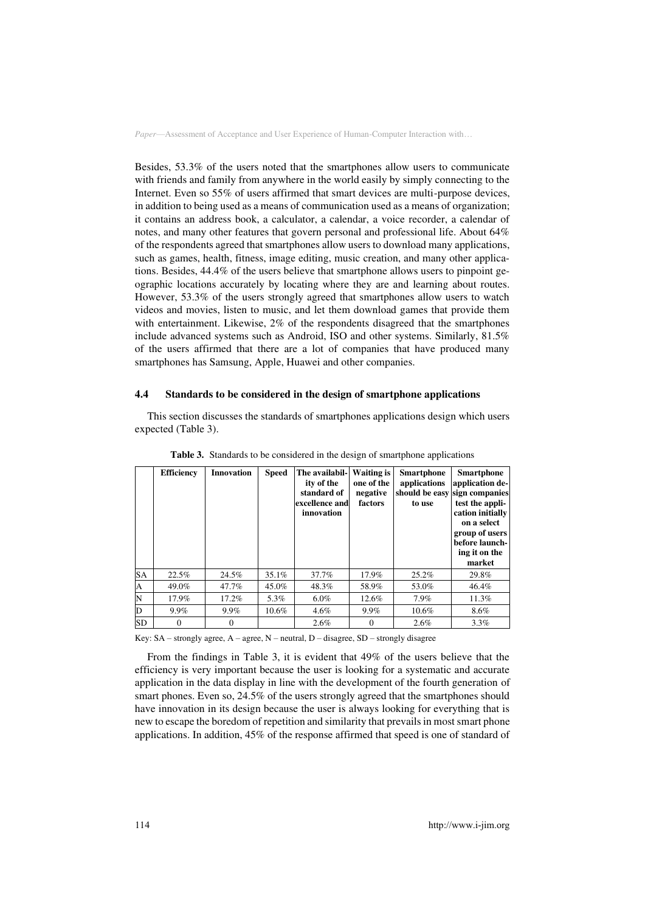Besides, 53.3% of the users noted that the smartphones allow users to communicate with friends and family from anywhere in the world easily by simply connecting to the Internet. Even so 55% of users affirmed that smart devices are multi-purpose devices, in addition to being used as a means of communication used as a means of organization; it contains an address book, a calculator, a calendar, a voice recorder, a calendar of notes, and many other features that govern personal and professional life. About 64% of the respondents agreed that smartphones allow users to download many applications, such as games, health, fitness, image editing, music creation, and many other applications. Besides, 44.4% of the users believe that smartphone allows users to pinpoint geographic locations accurately by locating where they are and learning about routes. However, 53.3% of the users strongly agreed that smartphones allow users to watch videos and movies, listen to music, and let them download games that provide them with entertainment. Likewise, 2% of the respondents disagreed that the smartphones include advanced systems such as Android, ISO and other systems. Similarly, 81.5% of the users affirmed that there are a lot of companies that have produced many smartphones has Samsung, Apple, Huawei and other companies.

#### **4.4 Standards to be considered in the design of smartphone applications**

This section discusses the standards of smartphones applications design which users expected (Table 3).

|              | <b>Efficiency</b> | <b>Innovation</b> | <b>Speed</b> | The availabil-<br>ity of the<br>standard of<br>excellence and<br>innovation | <b>Waiting is</b><br>one of the<br>negative<br>factors | <b>Smartphone</b><br>applications<br>to use | <b>Smartphone</b><br>application de-<br>should be easy sign companies<br>test the appli-<br>cation initially<br>on a select<br>group of users<br>before launch-<br>ing it on the<br>market |
|--------------|-------------------|-------------------|--------------|-----------------------------------------------------------------------------|--------------------------------------------------------|---------------------------------------------|--------------------------------------------------------------------------------------------------------------------------------------------------------------------------------------------|
| <b>SA</b>    | 22.5%             | 24.5%             | 35.1%        | 37.7%                                                                       | 17.9%                                                  | 25.2%                                       | 29.8%                                                                                                                                                                                      |
| $\mathbf{A}$ | 49.0%             | 47.7%             | 45.0%        | 48.3%                                                                       | 58.9%                                                  | 53.0%                                       | 46.4%                                                                                                                                                                                      |
| N            | 17.9%             | 17.2%             | 5.3%         | $6.0\%$                                                                     | 12.6%                                                  | 7.9%                                        | 11.3%                                                                                                                                                                                      |
| D            | 9.9%              | $9.9\%$           | 10.6%        | 4.6%                                                                        | $9.9\%$                                                | 10.6%                                       | 8.6%                                                                                                                                                                                       |
| SD           | $\Omega$          | $\Omega$          |              | 2.6%                                                                        | $\Omega$                                               | 2.6%                                        | 3.3%                                                                                                                                                                                       |

**Table 3.** Standards to be considered in the design of smartphone applications

Key:  $SA$  – strongly agree,  $A$  – agree,  $N$  – neutral,  $D$  – disagree,  $SD$  – strongly disagree

From the findings in Table 3, it is evident that 49% of the users believe that the efficiency is very important because the user is looking for a systematic and accurate application in the data display in line with the development of the fourth generation of smart phones. Even so, 24.5% of the users strongly agreed that the smartphones should have innovation in its design because the user is always looking for everything that is new to escape the boredom of repetition and similarity that prevails in most smart phone applications. In addition, 45% of the response affirmed that speed is one of standard of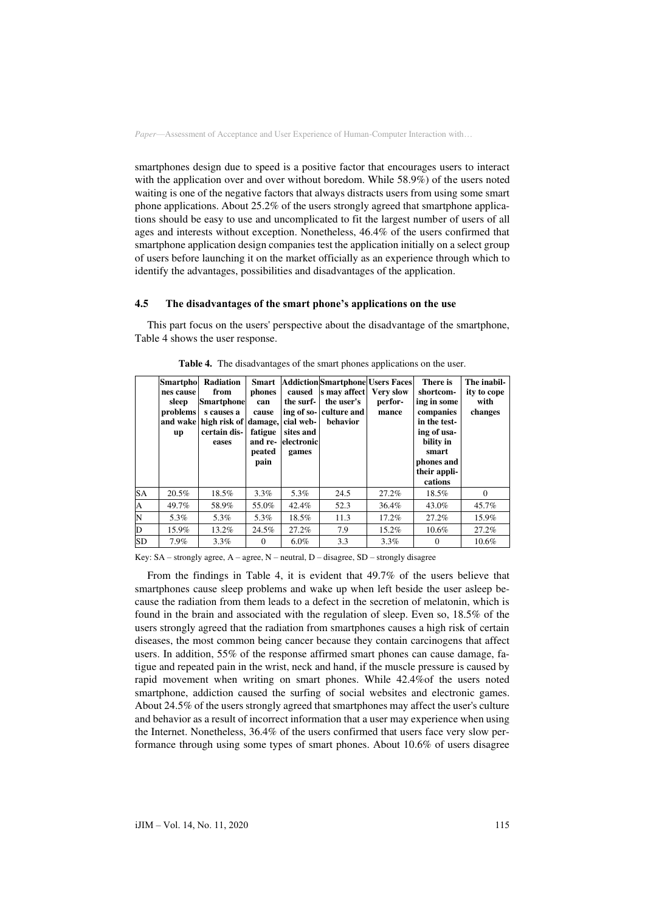smartphones design due to speed is a positive factor that encourages users to interact with the application over and over without boredom. While 58.9%) of the users noted waiting is one of the negative factors that always distracts users from using some smart phone applications. About 25.2% of the users strongly agreed that smartphone applications should be easy to use and uncomplicated to fit the largest number of users of all ages and interests without exception. Nonetheless, 46.4% of the users confirmed that smartphone application design companies test the application initially on a select group of users before launching it on the market officially as an experience through which to identify the advantages, possibilities and disadvantages of the application.

# **4.5 The disadvantages of the smart phone's applications on the use**

This part focus on the users' perspective about the disadvantage of the smartphone, Table 4 shows the user response.

|                    | <b>Smartpho</b><br>nes cause<br>sleep<br>problems<br>up | Radiation<br>from<br><b>Smartphone</b><br>s causes a<br>and wake high risk of damage,<br>certain dis-<br>eases | <b>Smart</b><br>phones<br>can<br>cause<br>fatigue<br>and re-<br>peated<br>pain | caused<br>the surf-<br>cial web-<br>sites and<br>electronic<br>games | <b>Addiction Smartphone Users Faces</b><br>s may affect<br>the user's<br>ing of so- culture and<br>behavior | <b>Very slow</b><br>perfor-<br>mance | There is<br>shortcom-<br>ing in some<br>companies<br>in the test-<br>ing of usa-<br>bility in<br>smart<br>phones and<br>their appli-<br>cations | The inabil-<br>ity to cope<br>with<br>changes |
|--------------------|---------------------------------------------------------|----------------------------------------------------------------------------------------------------------------|--------------------------------------------------------------------------------|----------------------------------------------------------------------|-------------------------------------------------------------------------------------------------------------|--------------------------------------|-------------------------------------------------------------------------------------------------------------------------------------------------|-----------------------------------------------|
| <b>SA</b>          | 20.5%                                                   | 18.5%                                                                                                          | $3.3\%$                                                                        | 5.3%                                                                 | 24.5                                                                                                        | 27.2%                                | 18.5%                                                                                                                                           | $\Omega$                                      |
| $\mathbf{A}$       | 49.7%                                                   | 58.9%                                                                                                          | 55.0%                                                                          | 42.4%                                                                | 52.3                                                                                                        | 36.4%                                | 43.0%                                                                                                                                           | 45.7%                                         |
| $\overline{\rm N}$ | 5.3%                                                    | 5.3%                                                                                                           | 5.3%                                                                           | 18.5%                                                                | 11.3                                                                                                        | 17.2%                                | 27.2%                                                                                                                                           | 15.9%                                         |
| $\overline{D}$     | 15.9%                                                   | 13.2%                                                                                                          | 24.5%                                                                          | 27.2%                                                                | 7.9                                                                                                         | 15.2%                                | 10.6%                                                                                                                                           | 27.2%                                         |
| <b>SD</b>          | 7.9%                                                    | $3.3\%$                                                                                                        | $\Omega$                                                                       | $6.0\%$                                                              | 3.3                                                                                                         | $3.3\%$                              | $\Omega$                                                                                                                                        | 10.6%                                         |

**Table 4.** The disadvantages of the smart phones applications on the user.

Key: SA – strongly agree, A – agree, N – neutral, D – disagree, SD – strongly disagree

From the findings in Table 4, it is evident that 49.7% of the users believe that smartphones cause sleep problems and wake up when left beside the user asleep because the radiation from them leads to a defect in the secretion of melatonin, which is found in the brain and associated with the regulation of sleep. Even so, 18.5% of the users strongly agreed that the radiation from smartphones causes a high risk of certain diseases, the most common being cancer because they contain carcinogens that affect users. In addition, 55% of the response affirmed smart phones can cause damage, fatigue and repeated pain in the wrist, neck and hand, if the muscle pressure is caused by rapid movement when writing on smart phones. While 42.4%of the users noted smartphone, addiction caused the surfing of social websites and electronic games. About 24.5% of the users strongly agreed that smartphones may affect the user's culture and behavior as a result of incorrect information that a user may experience when using the Internet. Nonetheless, 36.4% of the users confirmed that users face very slow performance through using some types of smart phones. About 10.6% of users disagree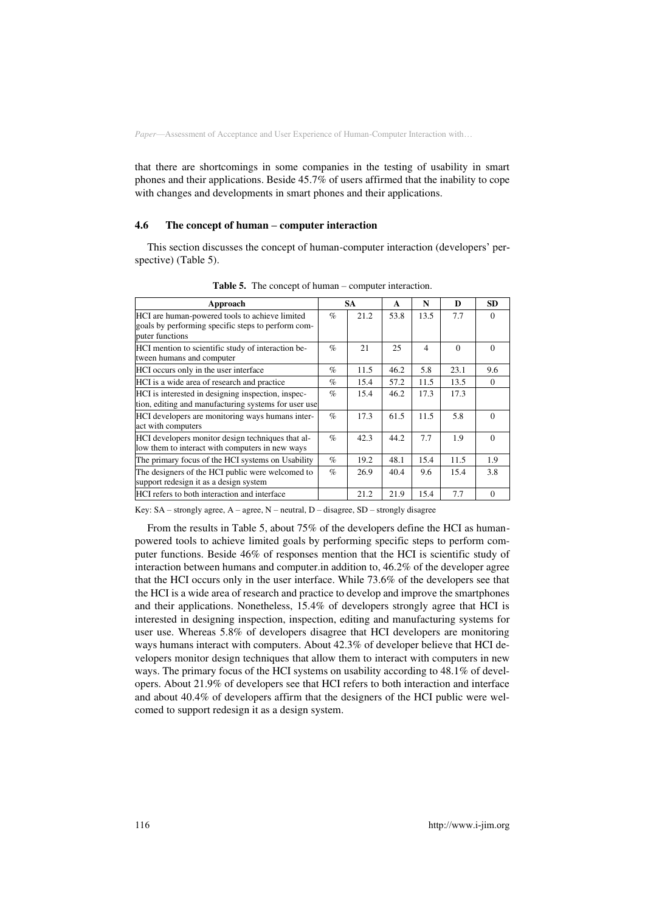that there are shortcomings in some companies in the testing of usability in smart phones and their applications. Beside 45.7% of users affirmed that the inability to cope with changes and developments in smart phones and their applications.

### **4.6 The concept of human – computer interaction**

This section discusses the concept of human-computer interaction (developers' perspective) (Table 5).

| Approach                                                                                                                |      | <b>SA</b> | A    | N              | D        | <b>SD</b> |
|-------------------------------------------------------------------------------------------------------------------------|------|-----------|------|----------------|----------|-----------|
| HCI are human-powered tools to achieve limited<br>goals by performing specific steps to perform com-<br>puter functions | $\%$ | 21.2      | 53.8 | 13.5           | 7.7      | $\Omega$  |
| HCI mention to scientific study of interaction be-<br>tween humans and computer                                         | $\%$ | 21        | 25   | $\overline{4}$ | $\Omega$ | $\Omega$  |
| HCI occurs only in the user interface                                                                                   | $\%$ | 11.5      | 46.2 | 5.8            | 23.1     | 9.6       |
| HCI is a wide area of research and practice                                                                             | $\%$ | 15.4      | 57.2 | 11.5           | 13.5     | $\Omega$  |
| HCI is interested in designing inspection, inspec-<br>tion, editing and manufacturing systems for user use              | $\%$ | 15.4      | 46.2 | 17.3           | 17.3     |           |
| HCI developers are monitoring ways humans inter-<br>act with computers                                                  | $\%$ | 17.3      | 61.5 | 11.5           | 5.8      | $\Omega$  |
| HCI developers monitor design techniques that al-<br>low them to interact with computers in new ways                    | $\%$ | 42.3      | 44.2 | 7.7            | 1.9      | $\Omega$  |
| The primary focus of the HCI systems on Usability                                                                       | $\%$ | 19.2      | 48.1 | 15.4           | 11.5     | 1.9       |
| The designers of the HCI public were welcomed to<br>support redesign it as a design system                              | $\%$ | 26.9      | 40.4 | 9.6            | 15.4     | 3.8       |
| HCI refers to both interaction and interface                                                                            |      | 21.2      | 21.9 | 15.4           | 7.7      | $\Omega$  |

**Table 5.** The concept of human – computer interaction.

Key: SA – strongly agree, A – agree, N – neutral, D – disagree, SD – strongly disagree

From the results in Table 5, about 75% of the developers define the HCI as humanpowered tools to achieve limited goals by performing specific steps to perform computer functions. Beside 46% of responses mention that the HCI is scientific study of interaction between humans and computer.in addition to, 46.2% of the developer agree that the HCI occurs only in the user interface. While 73.6% of the developers see that the HCI is a wide area of research and practice to develop and improve the smartphones and their applications. Nonetheless, 15.4% of developers strongly agree that HCI is interested in designing inspection, inspection, editing and manufacturing systems for user use. Whereas 5.8% of developers disagree that HCI developers are monitoring ways humans interact with computers. About 42.3% of developer believe that HCI developers monitor design techniques that allow them to interact with computers in new ways. The primary focus of the HCI systems on usability according to 48.1% of developers. About 21.9% of developers see that HCI refers to both interaction and interface and about 40.4% of developers affirm that the designers of the HCI public were welcomed to support redesign it as a design system.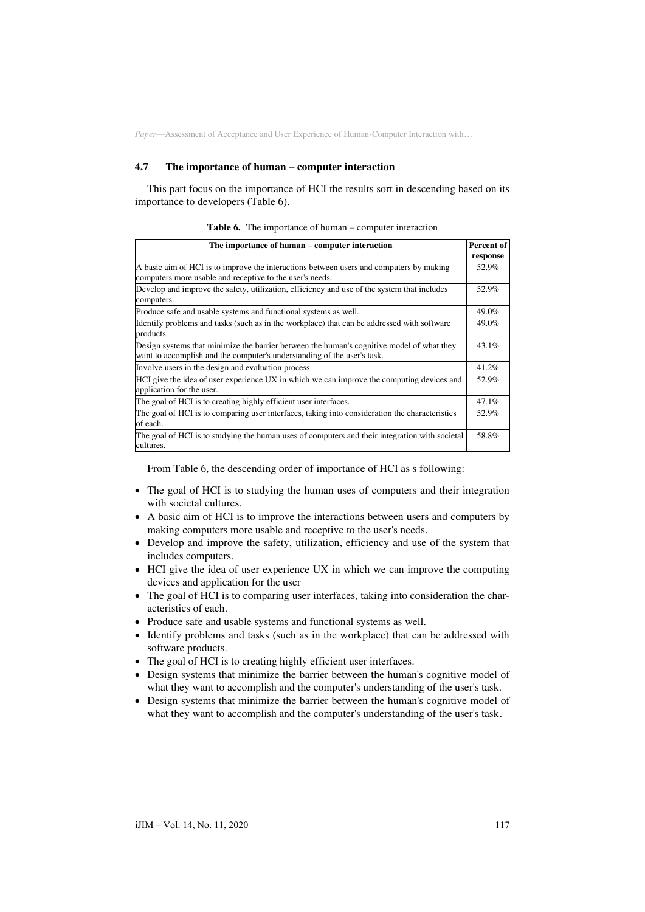#### **4.7 The importance of human – computer interaction**

This part focus on the importance of HCI the results sort in descending based on its importance to developers (Table 6).

| <b>Table 6.</b> The importance of human $-$ computer interaction |  |  |
|------------------------------------------------------------------|--|--|
|                                                                  |  |  |

| The importance of human – computer interaction                                                                                                                       | Percent of<br>response |
|----------------------------------------------------------------------------------------------------------------------------------------------------------------------|------------------------|
| A basic aim of HCI is to improve the interactions between users and computers by making<br>computers more usable and receptive to the user's needs.                  | 52.9%                  |
| Develop and improve the safety, utilization, efficiency and use of the system that includes<br>computers.                                                            | 52.9%                  |
| Produce safe and usable systems and functional systems as well.                                                                                                      | 49.0%                  |
| Identify problems and tasks (such as in the workplace) that can be addressed with software<br>products.                                                              | 49.0%                  |
| Design systems that minimize the barrier between the human's cognitive model of what they<br>want to accomplish and the computer's understanding of the user's task. | $43.1\%$               |
| Involve users in the design and evaluation process.                                                                                                                  | 41.2%                  |
| HCI give the idea of user experience UX in which we can improve the computing devices and<br>application for the user.                                               | 52.9%                  |
| The goal of HCI is to creating highly efficient user interfaces.                                                                                                     | 47.1%                  |
| The goal of HCI is to comparing user interfaces, taking into consideration the characteristics<br>of each.                                                           | 52.9%                  |
| The goal of HCI is to studying the human uses of computers and their integration with societal<br>cultures.                                                          | 58.8%                  |

From Table 6, the descending order of importance of HCI as s following:

- The goal of HCI is to studying the human uses of computers and their integration with societal cultures.
- A basic aim of HCI is to improve the interactions between users and computers by making computers more usable and receptive to the user's needs.
- Develop and improve the safety, utilization, efficiency and use of the system that includes computers.
- HCI give the idea of user experience UX in which we can improve the computing devices and application for the user
- The goal of HCI is to comparing user interfaces, taking into consideration the characteristics of each.
- Produce safe and usable systems and functional systems as well.
- Identify problems and tasks (such as in the workplace) that can be addressed with software products.
- The goal of HCI is to creating highly efficient user interfaces.
- Design systems that minimize the barrier between the human's cognitive model of what they want to accomplish and the computer's understanding of the user's task.
- Design systems that minimize the barrier between the human's cognitive model of what they want to accomplish and the computer's understanding of the user's task.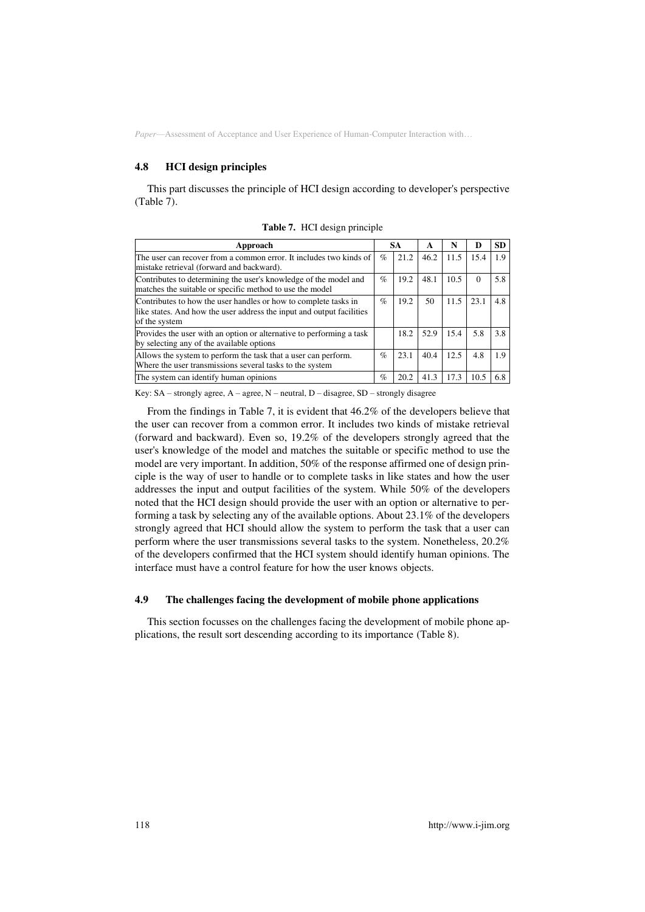#### **4.8 HCI design principles**

This part discusses the principle of HCI design according to developer's perspective (Table 7).

| Approach                                                                                                                                                  | SА   |      | A    | N    | D        | <b>SD</b> |
|-----------------------------------------------------------------------------------------------------------------------------------------------------------|------|------|------|------|----------|-----------|
| The user can recover from a common error. It includes two kinds of<br>mistake retrieval (forward and backward).                                           | $\%$ | 21.2 | 46.2 | 11.5 | 15.4     | 1.9       |
| Contributes to determining the user's knowledge of the model and<br>matches the suitable or specific method to use the model                              | $\%$ | 19.2 | 48.1 | 10.5 | $\Omega$ | 5.8       |
| Contributes to how the user handles or how to complete tasks in<br>like states. And how the user address the input and output facilities<br>of the system | $\%$ | 19.2 | 50   | 11.5 | 23.1     | 4.8       |
| Provides the user with an option or alternative to performing a task<br>by selecting any of the available options                                         |      | 18.2 | 52.9 | 15.4 | 5.8      | 3.8       |
| Allows the system to perform the task that a user can perform.<br>Where the user transmissions several tasks to the system                                | $\%$ | 23.1 | 40.4 | 12.5 | 4.8      | 1.9       |
| The system can identify human opinions                                                                                                                    | $\%$ | 20.2 | 41.3 | 17.3 | 10.5     | 6.8       |

**Table 7.** HCI design principle

Key: SA – strongly agree, A – agree, N – neutral, D – disagree, SD – strongly disagree

From the findings in Table 7, it is evident that 46.2% of the developers believe that the user can recover from a common error. It includes two kinds of mistake retrieval (forward and backward). Even so, 19.2% of the developers strongly agreed that the user's knowledge of the model and matches the suitable or specific method to use the model are very important. In addition, 50% of the response affirmed one of design principle is the way of user to handle or to complete tasks in like states and how the user addresses the input and output facilities of the system. While 50% of the developers noted that the HCI design should provide the user with an option or alternative to performing a task by selecting any of the available options. About 23.1% of the developers strongly agreed that HCI should allow the system to perform the task that a user can perform where the user transmissions several tasks to the system. Nonetheless, 20.2% of the developers confirmed that the HCI system should identify human opinions. The interface must have a control feature for how the user knows objects.

## **4.9 The challenges facing the development of mobile phone applications**

This section focusses on the challenges facing the development of mobile phone applications, the result sort descending according to its importance (Table 8).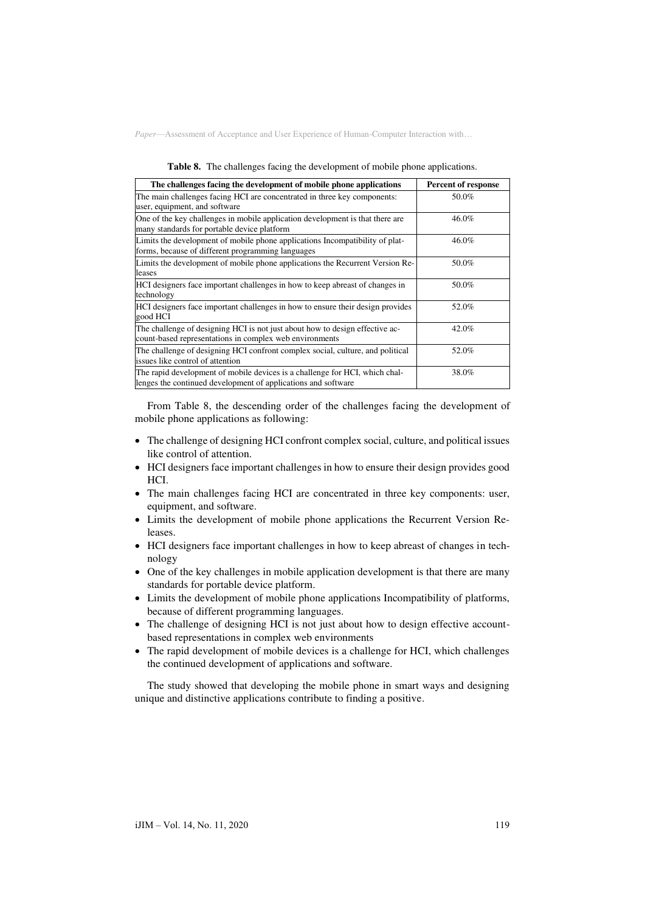|  |  | <b>Table 8.</b> The challenges facing the development of mobile phone applications. |
|--|--|-------------------------------------------------------------------------------------|
|  |  |                                                                                     |

| The challenges facing the development of mobile phone applications                                                                           | <b>Percent of response</b> |
|----------------------------------------------------------------------------------------------------------------------------------------------|----------------------------|
| The main challenges facing HCI are concentrated in three key components:<br>user, equipment, and software                                    | 50.0%                      |
| One of the key challenges in mobile application development is that there are<br>many standards for portable device platform                 | 46.0%                      |
| Limits the development of mobile phone applications Incompatibility of plat-<br>forms, because of different programming languages            | 46.0%                      |
| Limits the development of mobile phone applications the Recurrent Version Re-<br>leases                                                      | 50.0%                      |
| HCI designers face important challenges in how to keep abreast of changes in<br>technology                                                   | 50.0%                      |
| HCI designers face important challenges in how to ensure their design provides<br>good HCI                                                   | 52.0%                      |
| The challenge of designing HCI is not just about how to design effective ac-<br>count-based representations in complex web environments      | 42.0%                      |
| The challenge of designing HCI confront complex social, culture, and political<br>issues like control of attention                           | 52.0%                      |
| The rapid development of mobile devices is a challenge for HCI, which chal-<br>lenges the continued development of applications and software | 38.0%                      |

From Table 8, the descending order of the challenges facing the development of mobile phone applications as following:

- The challenge of designing HCI confront complex social, culture, and political issues like control of attention.
- HCI designers face important challenges in how to ensure their design provides good HCI.
- The main challenges facing HCI are concentrated in three key components: user, equipment, and software.
- Limits the development of mobile phone applications the Recurrent Version Releases.
- HCI designers face important challenges in how to keep abreast of changes in technology
- One of the key challenges in mobile application development is that there are many standards for portable device platform.
- Limits the development of mobile phone applications Incompatibility of platforms, because of different programming languages.
- The challenge of designing HCI is not just about how to design effective accountbased representations in complex web environments
- The rapid development of mobile devices is a challenge for HCI, which challenges the continued development of applications and software.

The study showed that developing the mobile phone in smart ways and designing unique and distinctive applications contribute to finding a positive.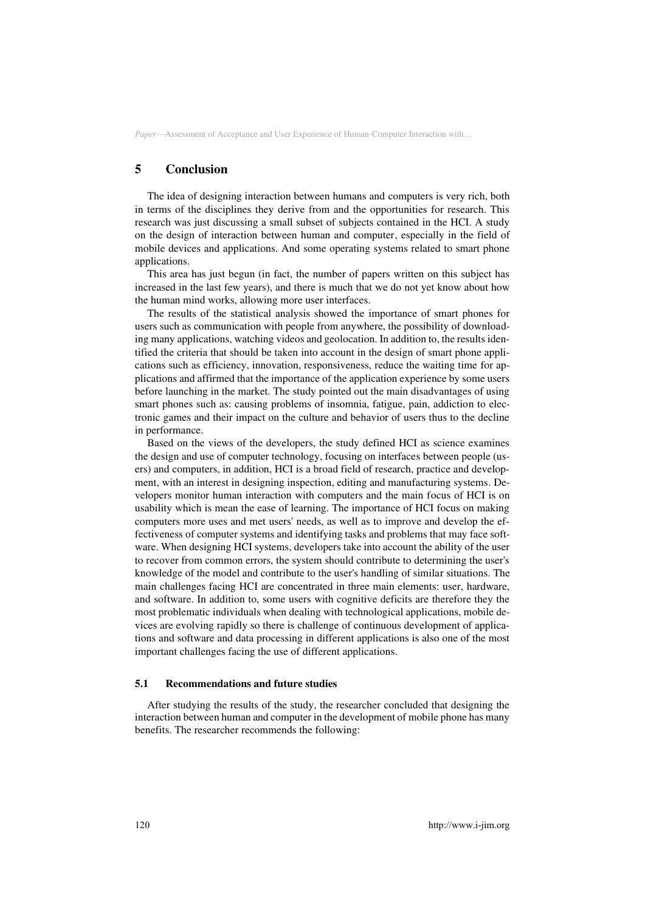# **5 Conclusion**

The idea of designing interaction between humans and computers is very rich, both in terms of the disciplines they derive from and the opportunities for research. This research was just discussing a small subset of subjects contained in the HCI. A study on the design of interaction between human and computer, especially in the field of mobile devices and applications. And some operating systems related to smart phone applications.

This area has just begun (in fact, the number of papers written on this subject has increased in the last few years), and there is much that we do not yet know about how the human mind works, allowing more user interfaces.

The results of the statistical analysis showed the importance of smart phones for users such as communication with people from anywhere, the possibility of downloading many applications, watching videos and geolocation. In addition to, the results identified the criteria that should be taken into account in the design of smart phone applications such as efficiency, innovation, responsiveness, reduce the waiting time for applications and affirmed that the importance of the application experience by some users before launching in the market. The study pointed out the main disadvantages of using smart phones such as: causing problems of insomnia, fatigue, pain, addiction to electronic games and their impact on the culture and behavior of users thus to the decline in performance.

Based on the views of the developers, the study defined HCI as science examines the design and use of computer technology, focusing on interfaces between people (users) and computers, in addition, HCI is a broad field of research, practice and development, with an interest in designing inspection, editing and manufacturing systems. Developers monitor human interaction with computers and the main focus of HCI is on usability which is mean the ease of learning. The importance of HCI focus on making computers more uses and met users' needs, as well as to improve and develop the effectiveness of computer systems and identifying tasks and problems that may face software. When designing HCI systems, developers take into account the ability of the user to recover from common errors, the system should contribute to determining the user's knowledge of the model and contribute to the user's handling of similar situations. The main challenges facing HCI are concentrated in three main elements: user, hardware, and software. In addition to, some users with cognitive deficits are therefore they the most problematic individuals when dealing with technological applications, mobile devices are evolving rapidly so there is challenge of continuous development of applications and software and data processing in different applications is also one of the most important challenges facing the use of different applications.

#### **5.1 Recommendations and future studies**

After studying the results of the study, the researcher concluded that designing the interaction between human and computer in the development of mobile phone has many benefits. The researcher recommends the following: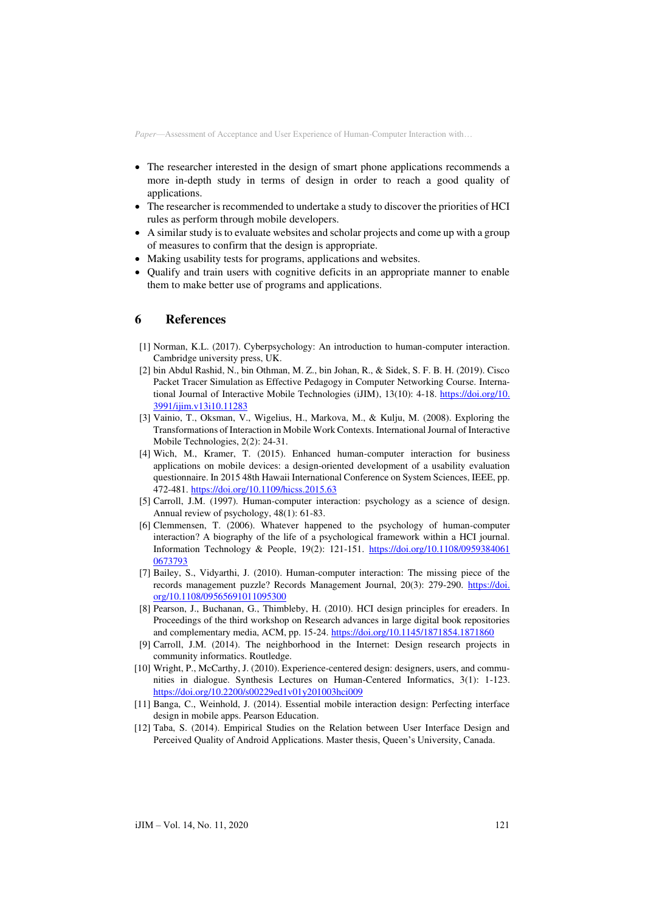- The researcher interested in the design of smart phone applications recommends a more in-depth study in terms of design in order to reach a good quality of applications.
- The researcher is recommended to undertake a study to discover the priorities of HCI rules as perform through mobile developers.
- A similar study is to evaluate websites and scholar projects and come up with a group of measures to confirm that the design is appropriate.
- Making usability tests for programs, applications and websites.
- Qualify and train users with cognitive deficits in an appropriate manner to enable them to make better use of programs and applications.

# **6 References**

- [1] Norman, K.L. (2017). Cyberpsychology: An introduction to human-computer interaction. Cambridge university press, UK.
- [2] bin Abdul Rashid, N., bin Othman, M. Z., bin Johan, R., & Sidek, S. F. B. H. (2019). Cisco Packet Tracer Simulation as Effective Pedagogy in Computer Networking Course. International Journal of Interactive Mobile Technologies (iJIM), 13(10): 4-18. [https://doi.org/10.](https://doi.org/10.3991/ijim.v13i10.11283)  [3991/ijim.v13i10.11283](https://doi.org/10.3991/ijim.v13i10.11283)
- [3] Vainio, T., Oksman, V., Wigelius, H., Markova, M., & Kulju, M. (2008). Exploring the Transformations of Interaction in Mobile Work Contexts. International Journal of Interactive Mobile Technologies, 2(2): 24-31.
- [4] Wich, M., Kramer, T. (2015). Enhanced human-computer interaction for business applications on mobile devices: a design-oriented development of a usability evaluation questionnaire. In 2015 48th Hawaii International Conference on System Sciences, IEEE, pp. 472-481. <https://doi.org/10.1109/hicss.2015.63>
- [5] Carroll, J.M. (1997). Human-computer interaction: psychology as a science of design. Annual review of psychology, 48(1): 61-83.
- [6] Clemmensen, T. (2006). Whatever happened to the psychology of human-computer interaction? A biography of the life of a psychological framework within a HCI journal. Information Technology & People, 19(2): 121-151. [https://doi.org/10.1108/0959384061](https://doi.org/10.1108/09593840610673793)  [0673793](https://doi.org/10.1108/09593840610673793)
- [7] Bailey, S., Vidyarthi, J. (2010). Human-computer interaction: The missing piece of the records management puzzle? Records Management Journal, 20(3): 279-290. https://doi. [org/10.1108/09565691011095300](https://doi.org/10.1108/09565691011095300)
- [8] Pearson, J., Buchanan, G., Thimbleby, H. (2010). HCI design principles for ereaders. In Proceedings of the third workshop on Research advances in large digital book repositories and complementary media, ACM, pp. 15-24. <https://doi.org/10.1145/1871854.1871860>
- [9] Carroll, J.M. (2014). The neighborhood in the Internet: Design research projects in community informatics. Routledge.
- [10] Wright, P., McCarthy, J. (2010). Experience-centered design: designers, users, and communities in dialogue. Synthesis Lectures on Human-Centered Informatics, 3(1): 1-123. <https://doi.org/10.2200/s00229ed1v01y201003hci009>
- [11] Banga, C., Weinhold, J. (2014). Essential mobile interaction design: Perfecting interface design in mobile apps. Pearson Education.
- [12] Taba, S. (2014). Empirical Studies on the Relation between User Interface Design and Perceived Quality of Android Applications. Master thesis, Queen's University, Canada.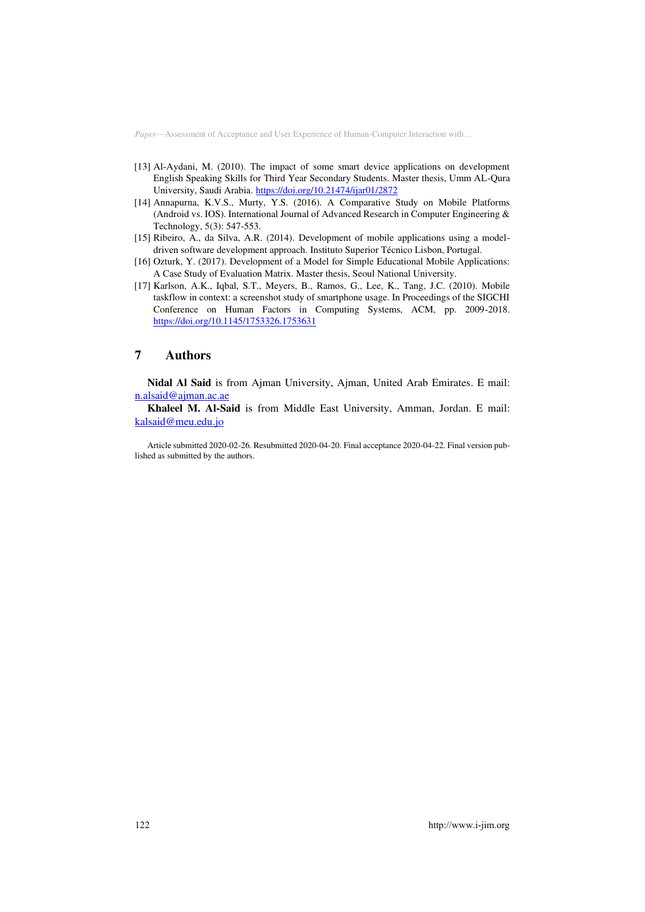- [13] Al-Aydani, M. (2010). The impact of some smart device applications on development English Speaking Skills for Third Year Secondary Students. Master thesis, Umm AL-Qura University, Saudi Arabia. <https://doi.org/10.21474/ijar01/2872>
- [14] Annapurna, K.V.S., Murty, Y.S. (2016). A Comparative Study on Mobile Platforms (Android vs. IOS). International Journal of Advanced Research in Computer Engineering & Technology, 5(3): 547-553.
- [15] Ribeiro, A., da Silva, A.R. (2014). Development of mobile applications using a modeldriven software development approach. Instituto Superior Técnico Lisbon, Portugal.
- [16] Ozturk, Y. (2017). Development of a Model for Simple Educational Mobile Applications: A Case Study of Evaluation Matrix. Master thesis, Seoul National University.
- [17] Karlson, A.K., Iqbal, S.T., Meyers, B., Ramos, G., Lee, K., Tang, J.C. (2010). Mobile taskflow in context: a screenshot study of smartphone usage. In Proceedings of the SIGCHI Conference on Human Factors in Computing Systems, ACM, pp. 2009-2018. <https://doi.org/10.1145/1753326.1753631>

# **7 Authors**

**Nidal Al Said** is from Ajman University, Ajman, United Arab Emirates. E mail: [n.a](mailto:a.nidal98@yahoo.com)[lsaid@ajman.ac.ae](mailto:lsaid@ajman.ac.ae)

**Khaleel M. Al-Said** is from Middle East University, Amman, Jordan. E mail: [kalsaid@meu.edu.jo](mailto:kalsaid@meu.edu.jo)

Article submitted 2020-02-26. Resubmitted 2020-04-20. Final acceptance 2020-04-22. Final version published as submitted by the authors.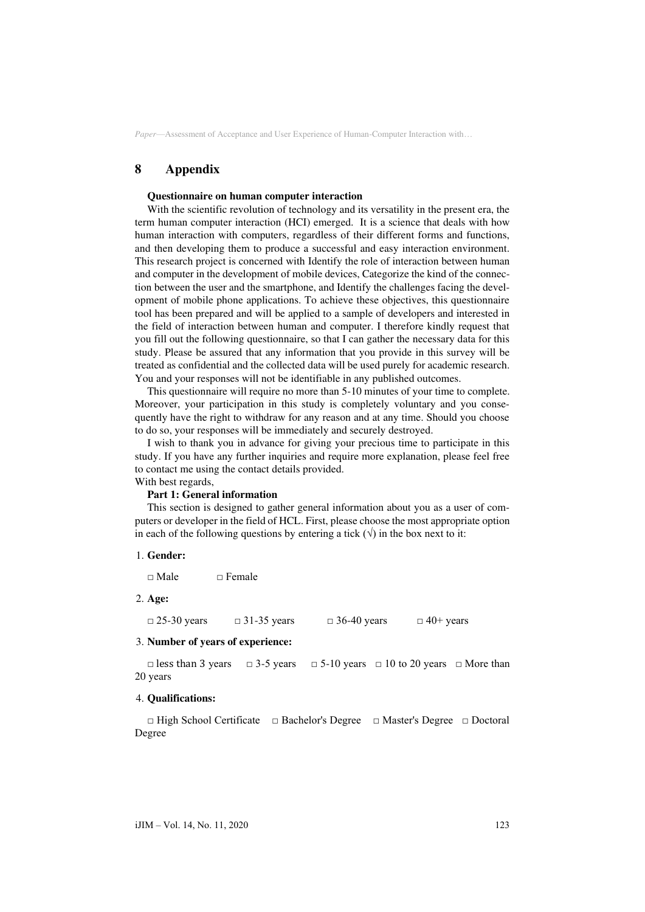# **8 Appendix**

#### **Questionnaire on human computer interaction**

With the scientific revolution of technology and its versatility in the present era, the term human computer interaction (HCI) emerged. It is a science that deals with how human interaction with computers, regardless of their different forms and functions, and then developing them to produce a successful and easy interaction environment. This research project is concerned with Identify the role of interaction between human and computer in the development of mobile devices, Categorize the kind of the connection between the user and the smartphone, and Identify the challenges facing the development of mobile phone applications. To achieve these objectives, this questionnaire tool has been prepared and will be applied to a sample of developers and interested in the field of interaction between human and computer. I therefore kindly request that you fill out the following questionnaire, so that I can gather the necessary data for this study. Please be assured that any information that you provide in this survey will be treated as confidential and the collected data will be used purely for academic research. You and your responses will not be identifiable in any published outcomes.

This questionnaire will require no more than 5-10 minutes of your time to complete. Moreover, your participation in this study is completely voluntary and you consequently have the right to withdraw for any reason and at any time. Should you choose to do so, your responses will be immediately and securely destroyed.

I wish to thank you in advance for giving your precious time to participate in this study. If you have any further inquiries and require more explanation, please feel free to contact me using the contact details provided.

# With best regards,

### **Part 1: General information**

This section is designed to gather general information about you as a user of computers or developer in the field of HCL. First, please choose the most appropriate option in each of the following questions by entering a tick  $(\forall)$  in the box next to it:

1. **Gender:** 

 $\Box$  Male  $\Box$  Female

2. **Age:** 

 $\Box$  25-30 years  $\Box$  31-35 years  $\Box$  36-40 years  $\Box$  40+ years

### 3. **Number of years of experience:**

□ less than 3 years □ 3-5 years □ 5-10 years □ 10 to 20 years □ More than 20 years

### 4. **Qualifications:**

□ High School Certificate □ Bachelor's Degree □ Master's Degree □ Doctoral Degree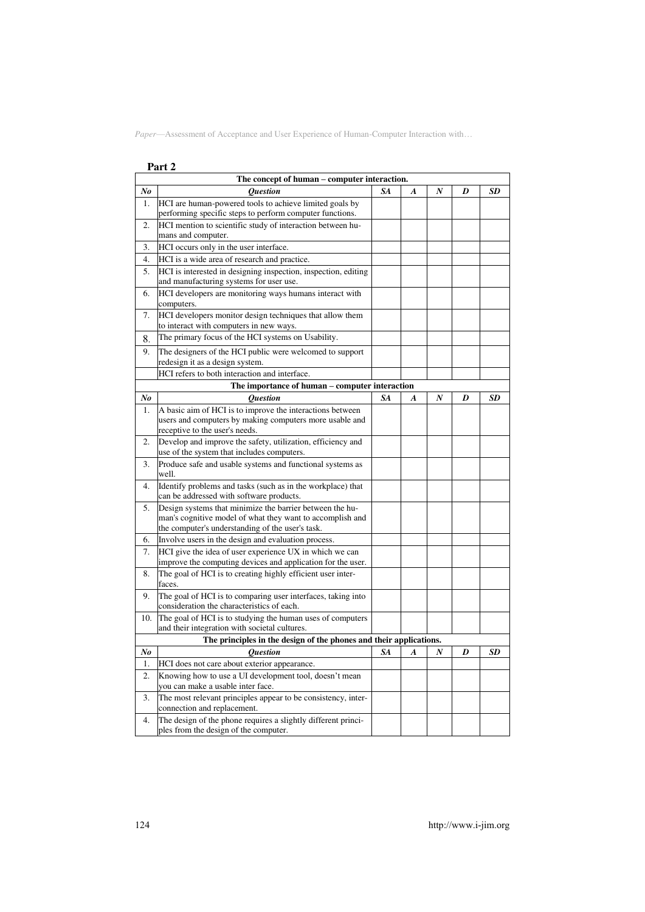|     | Part 2                                                                                                                 |    |                  |    |   |    |
|-----|------------------------------------------------------------------------------------------------------------------------|----|------------------|----|---|----|
|     | The concept of human – computer interaction.                                                                           |    |                  |    |   |    |
| No  | <i><b>Ouestion</b></i>                                                                                                 | SA | $\boldsymbol{A}$ | N  | D | SD |
| 1.  | HCI are human-powered tools to achieve limited goals by<br>performing specific steps to perform computer functions.    |    |                  |    |   |    |
| 2.  | HCI mention to scientific study of interaction between hu-<br>mans and computer.                                       |    |                  |    |   |    |
| 3.  | HCI occurs only in the user interface.                                                                                 |    |                  |    |   |    |
| 4.  | HCI is a wide area of research and practice.                                                                           |    |                  |    |   |    |
| 5.  | HCI is interested in designing inspection, inspection, editing<br>and manufacturing systems for user use.              |    |                  |    |   |    |
| 6.  | HCI developers are monitoring ways humans interact with<br>computers.                                                  |    |                  |    |   |    |
| 7.  | HCI developers monitor design techniques that allow them<br>to interact with computers in new ways.                    |    |                  |    |   |    |
| 8.  | The primary focus of the HCI systems on Usability.                                                                     |    |                  |    |   |    |
| 9.  | The designers of the HCI public were welcomed to support<br>redesign it as a design system.                            |    |                  |    |   |    |
|     | HCI refers to both interaction and interface.                                                                          |    |                  |    |   |    |
|     | The importance of human – computer interaction                                                                         |    |                  |    |   |    |
| No  | <i><b>Ouestion</b></i>                                                                                                 | SA | A                | N  | D | SD |
| 1.  | A basic aim of HCI is to improve the interactions between                                                              |    |                  |    |   |    |
|     | users and computers by making computers more usable and<br>receptive to the user's needs.                              |    |                  |    |   |    |
| 2.  | Develop and improve the safety, utilization, efficiency and<br>use of the system that includes computers.              |    |                  |    |   |    |
| 3.  | Produce safe and usable systems and functional systems as<br>well.                                                     |    |                  |    |   |    |
| 4.  | Identify problems and tasks (such as in the workplace) that<br>can be addressed with software products.                |    |                  |    |   |    |
| 5.  | Design systems that minimize the barrier between the hu-                                                               |    |                  |    |   |    |
|     | man's cognitive model of what they want to accomplish and                                                              |    |                  |    |   |    |
|     | the computer's understanding of the user's task.                                                                       |    |                  |    |   |    |
| 6.  | Involve users in the design and evaluation process.                                                                    |    |                  |    |   |    |
| 7.  | HCI give the idea of user experience UX in which we can<br>improve the computing devices and application for the user. |    |                  |    |   |    |
| 8.  | The goal of HCI is to creating highly efficient user inter-<br>faces.                                                  |    |                  |    |   |    |
| 9.  | The goal of HCI is to comparing user interfaces, taking into<br>consideration the characteristics of each.             |    |                  |    |   |    |
| 10. | The goal of HCI is to studying the human uses of computers<br>and their integration with societal cultures.            |    |                  |    |   |    |
|     | The principles in the design of the phones and their applications.                                                     |    |                  |    |   |    |
| No  | Question                                                                                                               | SA | $\boldsymbol{A}$ | IV | D | SD |
| 1.  | HCI does not care about exterior appearance.                                                                           |    |                  |    |   |    |
| 2.  | Knowing how to use a UI development tool, doesn't mean                                                                 |    |                  |    |   |    |
|     | you can make a usable inter face.<br>The most relevant principles appear to be consistency, inter-                     |    |                  |    |   |    |
| 3.  | connection and replacement.                                                                                            |    |                  |    |   |    |
| 4.  | The design of the phone requires a slightly different princi-<br>ples from the design of the computer.                 |    |                  |    |   |    |